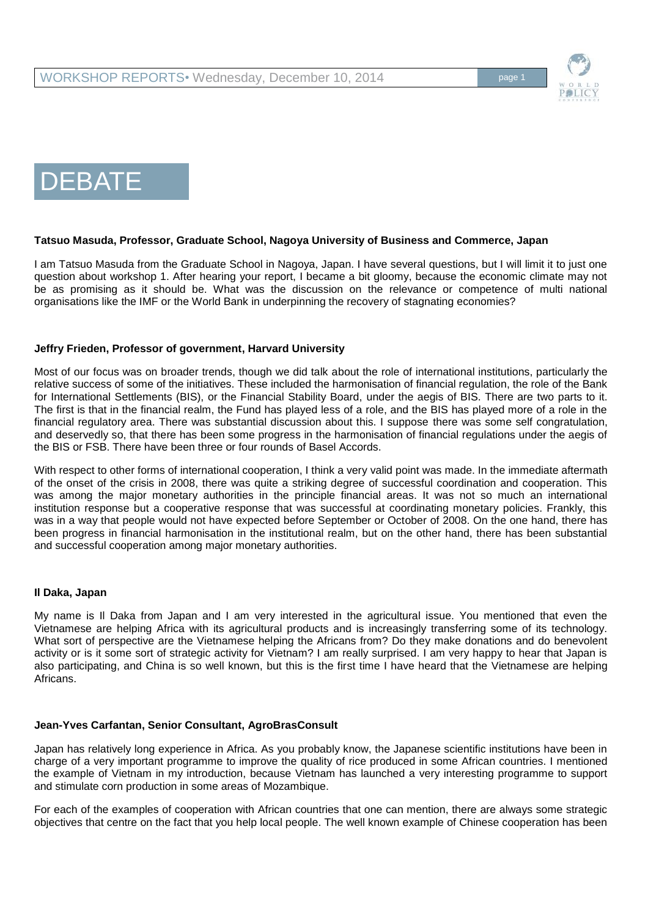

# DEBATE

#### **Tatsuo Masuda, Professor, Graduate School, Nagoya University of Business and Commerce, Japan**

I am Tatsuo Masuda from the Graduate School in Nagoya, Japan. I have several questions, but I will limit it to just one question about workshop 1. After hearing your report, I became a bit gloomy, because the economic climate may not be as promising as it should be. What was the discussion on the relevance or competence of multi national organisations like the IMF or the World Bank in underpinning the recovery of stagnating economies?

## **Jeffry Frieden, Professor of government, Harvard University**

Most of our focus was on broader trends, though we did talk about the role of international institutions, particularly the relative success of some of the initiatives. These included the harmonisation of financial regulation, the role of the Bank for International Settlements (BIS), or the Financial Stability Board, under the aegis of BIS. There are two parts to it. The first is that in the financial realm, the Fund has played less of a role, and the BIS has played more of a role in the financial regulatory area. There was substantial discussion about this. I suppose there was some self congratulation, and deservedly so, that there has been some progress in the harmonisation of financial regulations under the aegis of the BIS or FSB. There have been three or four rounds of Basel Accords.

With respect to other forms of international cooperation, I think a very valid point was made. In the immediate aftermath of the onset of the crisis in 2008, there was quite a striking degree of successful coordination and cooperation. This was among the major monetary authorities in the principle financial areas. It was not so much an international institution response but a cooperative response that was successful at coordinating monetary policies. Frankly, this was in a way that people would not have expected before September or October of 2008. On the one hand, there has been progress in financial harmonisation in the institutional realm, but on the other hand, there has been substantial and successful cooperation among major monetary authorities.

#### **Il Daka, Japan**

My name is Il Daka from Japan and I am very interested in the agricultural issue. You mentioned that even the Vietnamese are helping Africa with its agricultural products and is increasingly transferring some of its technology. What sort of perspective are the Vietnamese helping the Africans from? Do they make donations and do benevolent activity or is it some sort of strategic activity for Vietnam? I am really surprised. I am very happy to hear that Japan is also participating, and China is so well known, but this is the first time I have heard that the Vietnamese are helping Africans.

## **Jean-Yves Carfantan, Senior Consultant, AgroBrasConsult**

Japan has relatively long experience in Africa. As you probably know, the Japanese scientific institutions have been in charge of a very important programme to improve the quality of rice produced in some African countries. I mentioned the example of Vietnam in my introduction, because Vietnam has launched a very interesting programme to support and stimulate corn production in some areas of Mozambique.

For each of the examples of cooperation with African countries that one can mention, there are always some strategic objectives that centre on the fact that you help local people. The well known example of Chinese cooperation has been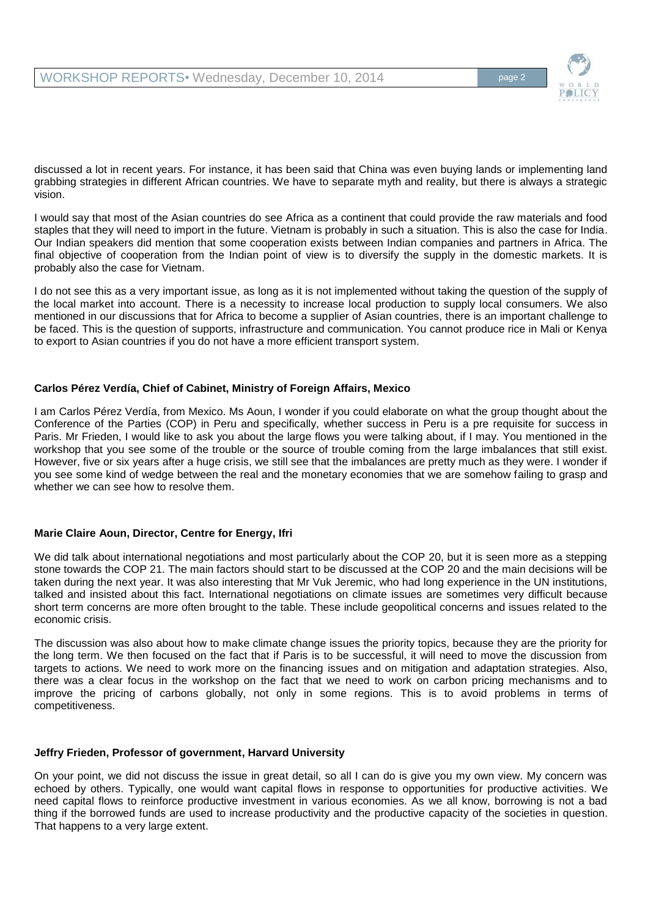

discussed a lot in recent years. For instance, it has been said that China was even buying lands or implementing land grabbing strategies in different African countries. We have to separate myth and reality, but there is always a strategic vision.

I would say that most of the Asian countries do see Africa as a continent that could provide the raw materials and food staples that they will need to import in the future. Vietnam is probably in such a situation. This is also the case for India. Our Indian speakers did mention that some cooperation exists between Indian companies and partners in Africa. The final objective of cooperation from the Indian point of view is to diversify the supply in the domestic markets. It is probably also the case for Vietnam.

I do not see this as a very important issue, as long as it is not implemented without taking the question of the supply of the local market into account. There is a necessity to increase local production to supply local consumers. We also mentioned in our discussions that for Africa to become a supplier of Asian countries, there is an important challenge to be faced. This is the question of supports, infrastructure and communication. You cannot produce rice in Mali or Kenya to export to Asian countries if you do not have a more efficient transport system.

## **Carlos Pérez Verdía, Chief of Cabinet, Ministry of Foreign Affairs, Mexico**

I am Carlos Pérez Verdía, from Mexico. Ms Aoun, I wonder if you could elaborate on what the group thought about the Conference of the Parties (COP) in Peru and specifically, whether success in Peru is a pre requisite for success in Paris. Mr Frieden, I would like to ask you about the large flows you were talking about, if I may. You mentioned in the workshop that you see some of the trouble or the source of trouble coming from the large imbalances that still exist. However, five or six years after a huge crisis, we still see that the imbalances are pretty much as they were. I wonder if you see some kind of wedge between the real and the monetary economies that we are somehow failing to grasp and whether we can see how to resolve them.

## **Marie Claire Aoun, Director, Centre for Energy, Ifri**

We did talk about international negotiations and most particularly about the COP 20, but it is seen more as a stepping stone towards the COP 21. The main factors should start to be discussed at the COP 20 and the main decisions will be taken during the next year. It was also interesting that Mr Vuk Jeremic, who had long experience in the UN institutions, talked and insisted about this fact. International negotiations on climate issues are sometimes very difficult because short term concerns are more often brought to the table. These include geopolitical concerns and issues related to the economic crisis.

The discussion was also about how to make climate change issues the priority topics, because they are the priority for the long term. We then focused on the fact that if Paris is to be successful, it will need to move the discussion from targets to actions. We need to work more on the financing issues and on mitigation and adaptation strategies. Also, there was a clear focus in the workshop on the fact that we need to work on carbon pricing mechanisms and to improve the pricing of carbons globally, not only in some regions. This is to avoid problems in terms of competitiveness.

#### **Jeffry Frieden, Professor of government, Harvard University**

On your point, we did not discuss the issue in great detail, so all I can do is give you my own view. My concern was echoed by others. Typically, one would want capital flows in response to opportunities for productive activities. We need capital flows to reinforce productive investment in various economies. As we all know, borrowing is not a bad thing if the borrowed funds are used to increase productivity and the productive capacity of the societies in question. That happens to a very large extent.